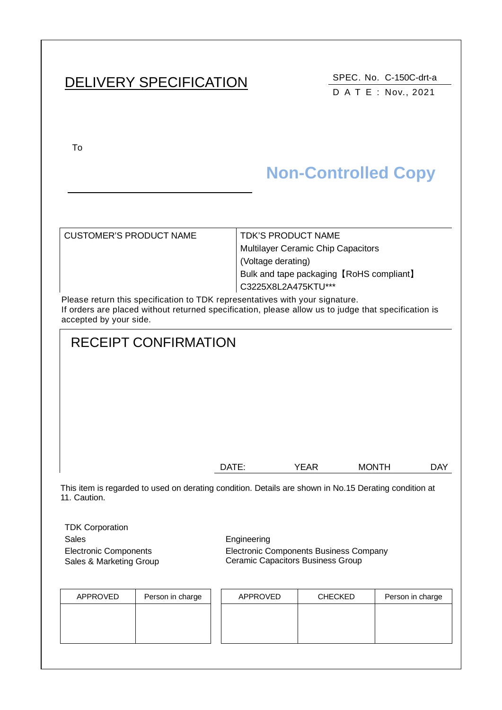# DELIVERY SPECIFICATION SPEC. No. C-150C-drt-a

DATE : Nov., 2021

To

# **Non-Controlled Copy**

| <b>CUSTOMER'S PRODUCT NAME</b> | <b>TDK'S PRODUCT NAME</b>                 |
|--------------------------------|-------------------------------------------|
|                                | <b>Multilayer Ceramic Chip Capacitors</b> |
|                                | (Voltage derating)                        |
|                                | Bulk and tape packaging [RoHS compliant]  |
|                                | C3225X8L2A475KTU***                       |
|                                |                                           |

Please return this specification to TDK representatives with your signature. If orders are placed without returned specification, please allow us to judge that specification is accepted by your side.

# RECEIPT CONFIRMATION

| DATE: | YEAR | <b>MONTH</b> | <b>DAY</b> |
|-------|------|--------------|------------|

This item is regarded to used on derating condition. Details are shown in No.15 Derating condition at 11. Caution.

TDK Corporation Sales Engineering Electronic Components Sales & Marketing Group

Electronic Components Business Company Ceramic Capacitors Business Group

| APPROVED | Person in charge | APPROVED | <b>CHECKED</b> | Person in charge |
|----------|------------------|----------|----------------|------------------|
|          |                  |          |                |                  |
|          |                  |          |                |                  |
|          |                  |          |                |                  |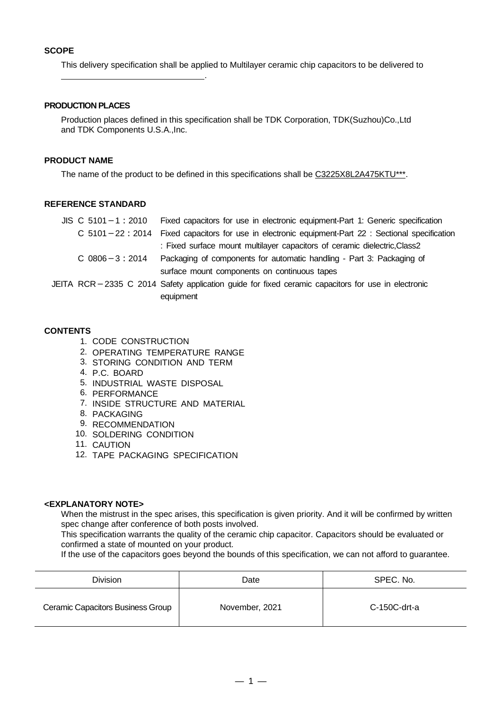This delivery specification shall be applied to Multilayer ceramic chip capacitors to be delivered to

#### **PRODUCTION PLACES**

.

Production places defined in this specification shall be TDK Corporation, TDK(Suzhou)Co.,Ltd and TDK Components U.S.A.,Inc.

#### **PRODUCT NAME**

The name of the product to be defined in this specifications shall be C3225X8L2A475KTU\*\*\*.

#### **REFERENCE STANDARD**

| $JIS \, C \, 5101 - 1 : 2010$ | Fixed capacitors for use in electronic equipment-Part 1: Generic specification                    |
|-------------------------------|---------------------------------------------------------------------------------------------------|
|                               | C 5101-22: 2014 Fixed capacitors for use in electronic equipment-Part 22: Sectional specification |
|                               | : Fixed surface mount multilayer capacitors of ceramic dielectric, Class2                         |
| $C$ 0806 $-3:2014$            | Packaging of components for automatic handling - Part 3: Packaging of                             |
|                               | surface mount components on continuous tapes                                                      |
|                               | JEITA RCR-2335 C 2014 Safety application guide for fixed ceramic capacitors for use in electronic |
|                               | equipment                                                                                         |

#### **CONTENTS**

- 1. CODE CONSTRUCTION
- 2. OPERATING TEMPERATURE RANGE
- 3. STORING CONDITION AND TERM
- 4. P.C. BOARD
- 5. INDUSTRIAL WASTE DISPOSAL
- 6. PERFORMANCE
- 7. INSIDE STRUCTURE AND MATERIAL
- 8. PACKAGING
- 9. RECOMMENDATION
- 10. SOLDERING CONDITION
- 11. CAUTION
- 12. TAPE PACKAGING SPECIFICATION

#### **<EXPLANATORY NOTE>**

When the mistrust in the spec arises, this specification is given priority. And it will be confirmed by written spec change after conference of both posts involved.

This specification warrants the quality of the ceramic chip capacitor. Capacitors should be evaluated or confirmed a state of mounted on your product.

If the use of the capacitors goes beyond the bounds of this specification, we can not afford to guarantee.

| <b>Division</b>                   | Date           | SPEC. No.    |
|-----------------------------------|----------------|--------------|
| Ceramic Capacitors Business Group | November, 2021 | C-150C-drt-a |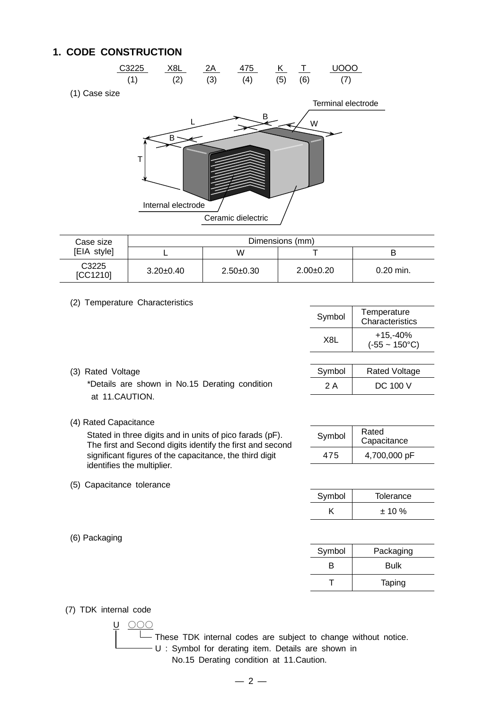### **1. CODE CONSTRUCTION**



(1) Case size



| Case size                     | Dimensions (mm) |             |             |           |
|-------------------------------|-----------------|-------------|-------------|-----------|
| [EIA style]                   |                 | W           |             |           |
| C <sub>3225</sub><br>[CC1210] | $3.20 \pm 0.40$ | $2.50+0.30$ | $2.00+0.20$ | 0.20 min. |

#### (2) Temperature Characteristics

|                          | Symbol           | Temperature<br>Characteristics       |
|--------------------------|------------------|--------------------------------------|
|                          | X <sub>8</sub> L | $+15,-40%$<br>$(-55 - 150^{\circ}C)$ |
|                          |                  |                                      |
|                          | Symbol           | <b>Rated Voltage</b>                 |
| No.15 Derating condition | 2 A              | DC 100 V                             |

(3) Rated Voltage \*Details are shown in No.15 Derating condition at 11.CAUTION.

#### (4) Rated Capacitance

(5) Capacitance tolerance

Stated in three digits and in units of pico farads (pF). The first and Second digits identify the first and second significant figures of the capacitance, the third digit identifies the multiplier.

| Symbol | Rated<br>Capacitance |
|--------|----------------------|
| 475    | 4,700,000 pF         |

| Symbol | Tolerance |
|--------|-----------|
|        | $± 10 \%$ |

| Symbol | Packaging |
|--------|-----------|
| R      | Bulk      |
|        | Taping    |

(7) TDK internal code

(6) Packaging

U 〇〇〇 These TDK internal codes are subject to change without notice. **→ U** : Symbol for derating item. Details are shown in

No.15 Derating condition at 11.Caution.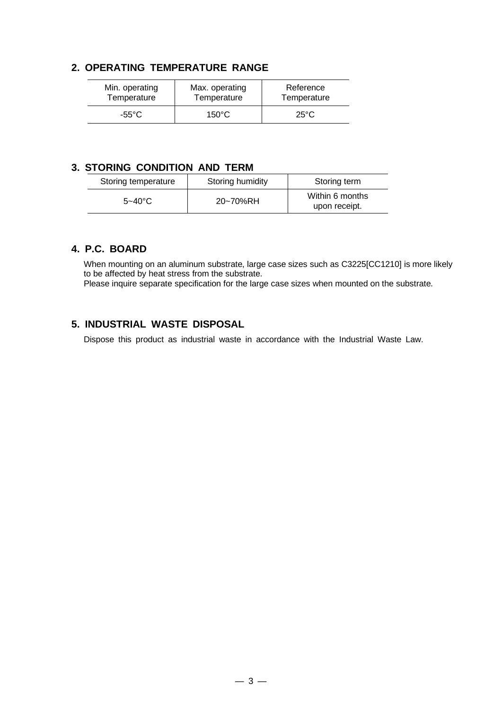### **2. OPERATING TEMPERATURE RANGE**

| Min. operating | Max. operating  | Reference      |
|----------------|-----------------|----------------|
| Temperature    | Temperature     | Temperature    |
| -55°C          | $150^{\circ}$ C | $25^{\circ}$ C |

### **3. STORING CONDITION AND TERM**

| Storing temperature | Storing humidity | Storing term                     |
|---------------------|------------------|----------------------------------|
| $5 - 40^{\circ}$ C  | 20~70%RH         | Within 6 months<br>upon receipt. |

#### **4. P.C. BOARD**

When mounting on an aluminum substrate, large case sizes such as C3225[CC1210] is more likely to be affected by heat stress from the substrate.

Please inquire separate specification for the large case sizes when mounted on the substrate.

### **5. INDUSTRIAL WASTE DISPOSAL**

Dispose this product as industrial waste in accordance with the Industrial Waste Law.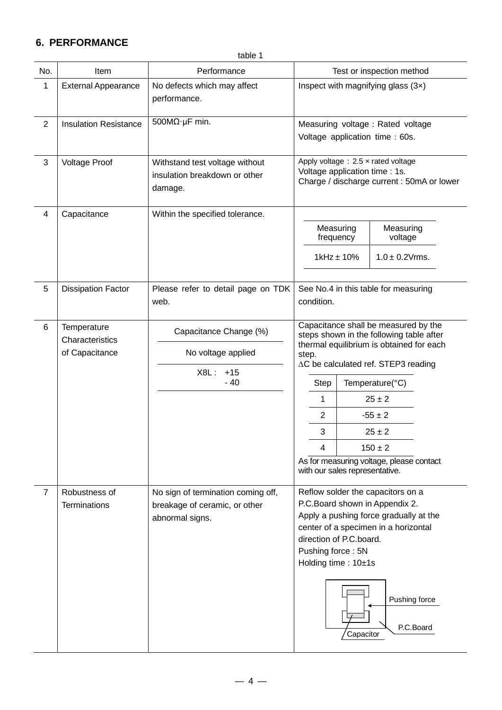### **6. PERFORMANCE**

|                | table 1                              |                                                                                        |                                                                                                                                                                                                                                                                         |  |  |  |  |
|----------------|--------------------------------------|----------------------------------------------------------------------------------------|-------------------------------------------------------------------------------------------------------------------------------------------------------------------------------------------------------------------------------------------------------------------------|--|--|--|--|
| No.            | Item                                 | Performance                                                                            | Test or inspection method                                                                                                                                                                                                                                               |  |  |  |  |
| 1              | <b>External Appearance</b>           | No defects which may affect<br>performance.                                            | Inspect with magnifying glass $(3x)$                                                                                                                                                                                                                                    |  |  |  |  |
| $\overline{2}$ | <b>Insulation Resistance</b>         | 500 $M\Omega$ ·µF min.                                                                 | Measuring voltage : Rated voltage<br>Voltage application time : 60s.                                                                                                                                                                                                    |  |  |  |  |
| $\mathbf{3}$   | <b>Voltage Proof</b>                 | Withstand test voltage without<br>insulation breakdown or other<br>damage.             | Apply voltage $: 2.5 \times$ rated voltage<br>Voltage application time : 1s.<br>Charge / discharge current : 50mA or lower                                                                                                                                              |  |  |  |  |
| 4              | Capacitance                          | Within the specified tolerance.                                                        |                                                                                                                                                                                                                                                                         |  |  |  |  |
|                |                                      |                                                                                        | Measuring<br>Measuring<br>voltage<br>frequency                                                                                                                                                                                                                          |  |  |  |  |
|                |                                      |                                                                                        | $1$ kHz $\pm$ 10%<br>$1.0 \pm 0.2$ Vrms.                                                                                                                                                                                                                                |  |  |  |  |
| 5              | <b>Dissipation Factor</b>            | Please refer to detail page on TDK<br>web.                                             | See No.4 in this table for measuring<br>condition.                                                                                                                                                                                                                      |  |  |  |  |
| 6              | Temperature<br>Characteristics       | Capacitance Change (%)                                                                 | Capacitance shall be measured by the<br>steps shown in the following table after                                                                                                                                                                                        |  |  |  |  |
|                | of Capacitance                       | No voltage applied                                                                     | thermal equilibrium is obtained for each<br>step.<br>∆C be calculated ref. STEP3 reading                                                                                                                                                                                |  |  |  |  |
|                |                                      | X8L: +15<br>$-40$                                                                      | Temperature(°C)<br><b>Step</b>                                                                                                                                                                                                                                          |  |  |  |  |
|                |                                      |                                                                                        | 1<br>$25 \pm 2$                                                                                                                                                                                                                                                         |  |  |  |  |
|                |                                      |                                                                                        | $\overline{2}$<br>$-55 \pm 2$                                                                                                                                                                                                                                           |  |  |  |  |
|                |                                      |                                                                                        | 3<br>$25 \pm 2$                                                                                                                                                                                                                                                         |  |  |  |  |
|                |                                      |                                                                                        | $150 \pm 2$<br>4                                                                                                                                                                                                                                                        |  |  |  |  |
|                |                                      |                                                                                        | As for measuring voltage, please contact<br>with our sales representative.                                                                                                                                                                                              |  |  |  |  |
| $\overline{7}$ | Robustness of<br><b>Terminations</b> | No sign of termination coming off,<br>breakage of ceramic, or other<br>abnormal signs. | Reflow solder the capacitors on a<br>P.C.Board shown in Appendix 2.<br>Apply a pushing force gradually at the<br>center of a specimen in a horizontal<br>direction of P.C.board.<br>Pushing force: 5N<br>Holding time: 10±1s<br>Pushing force<br>P.C.Board<br>Capacitor |  |  |  |  |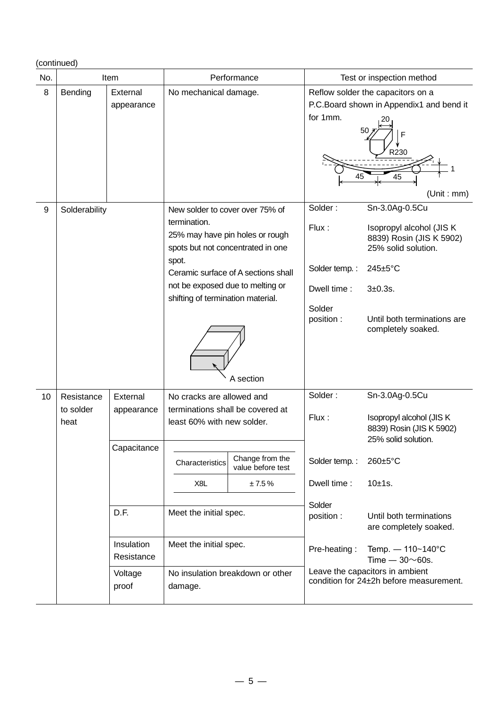### (continued)

| No. | Item                            |                                                                           |                                                                                                                                                                                                           | Performance                                      | Test or inspection method                                                               |                                                                                                                                                                                                                                  |
|-----|---------------------------------|---------------------------------------------------------------------------|-----------------------------------------------------------------------------------------------------------------------------------------------------------------------------------------------------------|--------------------------------------------------|-----------------------------------------------------------------------------------------|----------------------------------------------------------------------------------------------------------------------------------------------------------------------------------------------------------------------------------|
| 8   | Bending                         | External<br>appearance                                                    | No mechanical damage.                                                                                                                                                                                     |                                                  | for 1mm.<br>45                                                                          | Reflow solder the capacitors on a<br>P.C.Board shown in Appendix1 and bend it<br>50<br>F<br>R230<br>45<br>(Unit : mm)                                                                                                            |
| 9   | Solderability                   |                                                                           | New solder to cover over 75% of<br>termination.<br>25% may have pin holes or rough<br>spots but not concentrated in one<br>spot.<br>not be exposed due to melting or<br>shifting of termination material. | Ceramic surface of A sections shall<br>A section | Solder:<br>Flux:<br>Solder temp.:<br>Dwell time:<br>Solder<br>position :                | Sn-3.0Ag-0.5Cu<br>Isopropyl alcohol (JIS K<br>8839) Rosin (JIS K 5902)<br>25% solid solution.<br>245±5°C<br>3±0.3s.<br>Until both terminations are<br>completely soaked.                                                         |
| 10  | Resistance<br>to solder<br>heat | External<br>appearance<br>Capacitance<br>D.F.<br>Insulation<br>Resistance | No cracks are allowed and<br>terminations shall be covered at<br>least 60% with new solder.<br>Characteristics<br>X8L<br>Meet the initial spec.<br>Meet the initial spec.                                 | Change from the<br>value before test<br>±7.5%    | Solder:<br>Flux:<br>Solder temp.:<br>Dwell time:<br>Solder<br>position:<br>Pre-heating: | Sn-3.0Ag-0.5Cu<br>Isopropyl alcohol (JIS K<br>8839) Rosin (JIS K 5902)<br>25% solid solution.<br>260±5°C<br>$10±1s$ .<br>Until both terminations<br>are completely soaked.<br>Temp. $- 110 - 140^{\circ}C$<br>Time $-30\nu$ 60s. |
|     |                                 | Voltage<br>proof                                                          | damage.                                                                                                                                                                                                   | No insulation breakdown or other                 |                                                                                         | Leave the capacitors in ambient<br>condition for 24±2h before measurement.                                                                                                                                                       |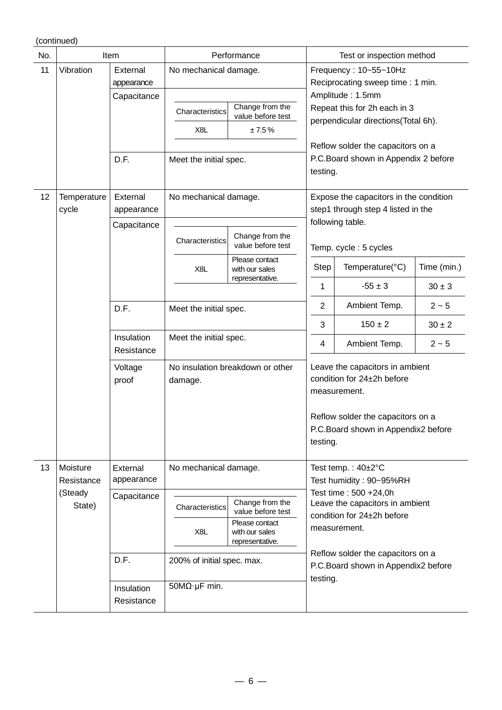(continued)

| No. | Item                   |                                                                 | Performance                                                                          |                                                                                             | Test or inspection method                                                                                |                                                                                                        |             |
|-----|------------------------|-----------------------------------------------------------------|--------------------------------------------------------------------------------------|---------------------------------------------------------------------------------------------|----------------------------------------------------------------------------------------------------------|--------------------------------------------------------------------------------------------------------|-------------|
| 11  | Vibration              | External<br>appearance<br>Capacitance                           | No mechanical damage.                                                                |                                                                                             |                                                                                                          | Frequency: 10~55~10Hz<br>Reciprocating sweep time: 1 min.<br>Amplitude: 1.5mm                          |             |
|     |                        |                                                                 | Characteristics<br>X8L                                                               | Change from the<br>value before test<br>±7.5%                                               | Repeat this for 2h each in 3<br>perpendicular directions(Total 6h).<br>Reflow solder the capacitors on a |                                                                                                        |             |
|     |                        | D.F.                                                            | Meet the initial spec.                                                               |                                                                                             | testing.                                                                                                 | P.C.Board shown in Appendix 2 before                                                                   |             |
| 12  | Temperature<br>cycle   | External<br>appearance<br>Capacitance                           | No mechanical damage.                                                                |                                                                                             |                                                                                                          | Expose the capacitors in the condition<br>step1 through step 4 listed in the                           |             |
|     |                        |                                                                 | Characteristics                                                                      | Change from the<br>value before test                                                        | following table.<br>Temp. cycle: 5 cycles                                                                |                                                                                                        |             |
|     |                        |                                                                 | X8L                                                                                  | Please contact<br>with our sales                                                            | Step                                                                                                     | Temperature(°C)                                                                                        | Time (min.) |
|     |                        |                                                                 |                                                                                      | representative.                                                                             | 1                                                                                                        | $-55 \pm 3$                                                                                            | $30 \pm 3$  |
|     |                        | D.F.                                                            | Meet the initial spec.                                                               |                                                                                             | $\overline{2}$                                                                                           | Ambient Temp.                                                                                          | $2 - 5$     |
|     |                        |                                                                 |                                                                                      |                                                                                             | 3                                                                                                        | $150 \pm 2$                                                                                            | $30 \pm 2$  |
|     |                        | Insulation<br>Resistance                                        | Meet the initial spec.                                                               |                                                                                             | 4                                                                                                        | Ambient Temp.                                                                                          | $2 - 5$     |
|     |                        | No insulation breakdown or other<br>Voltage<br>proof<br>damage. |                                                                                      | Leave the capacitors in ambient<br>condition for 24±2h before<br>measurement.               |                                                                                                          |                                                                                                        |             |
|     |                        |                                                                 | Reflow solder the capacitors on a<br>P.C.Board shown in Appendix2 before<br>testing. |                                                                                             |                                                                                                          |                                                                                                        |             |
| 13  | Moisture<br>Resistance | External<br>appearance                                          | No mechanical damage.                                                                |                                                                                             | Test temp.: $40\pm2^{\circ}C$<br>Test humidity: 90~95%RH                                                 |                                                                                                        |             |
|     | (Steady<br>State)      | Capacitance<br>Characteristics<br>X <sub>8</sub> L              |                                                                                      | Change from the<br>value before test<br>Please contact<br>with our sales<br>representative. |                                                                                                          | Test time: 500 +24,0h<br>Leave the capacitors in ambient<br>condition for 24±2h before<br>measurement. |             |
|     |                        | D.F.                                                            | 200% of initial spec. max.                                                           |                                                                                             |                                                                                                          | Reflow solder the capacitors on a<br>P.C.Board shown in Appendix2 before                               |             |
|     |                        | Insulation<br>Resistance                                        | $50M\Omega \cdot \mu F$ min.                                                         |                                                                                             | testing.                                                                                                 |                                                                                                        |             |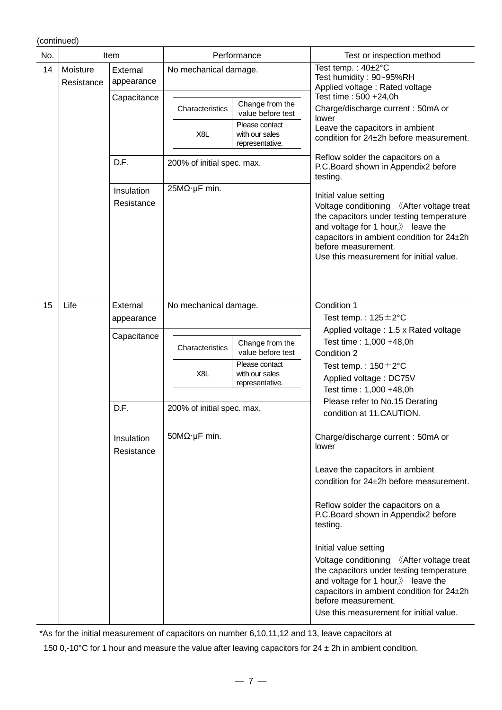#### (continued)

| No. | Item                   |                          | Performance                |                                                                                             | Test or inspection method                                                                                                                                                                                                                                                                       |
|-----|------------------------|--------------------------|----------------------------|---------------------------------------------------------------------------------------------|-------------------------------------------------------------------------------------------------------------------------------------------------------------------------------------------------------------------------------------------------------------------------------------------------|
| 14  | Moisture<br>Resistance | External<br>appearance   | No mechanical damage.      |                                                                                             | Test temp.: 40±2°C<br>Test humidity: 90~95%RH<br>Applied voltage: Rated voltage                                                                                                                                                                                                                 |
|     |                        | Capacitance              | Characteristics            | Change from the<br>value before test                                                        | Test time: 500 +24,0h<br>Charge/discharge current: 50mA or                                                                                                                                                                                                                                      |
|     |                        |                          | X8L                        | Please contact<br>with our sales<br>representative.                                         | lower<br>Leave the capacitors in ambient<br>condition for 24±2h before measurement.                                                                                                                                                                                                             |
|     |                        | D.F.                     | 200% of initial spec. max. |                                                                                             | Reflow solder the capacitors on a<br>P.C.Board shown in Appendix2 before<br>testing.                                                                                                                                                                                                            |
|     |                        | Insulation<br>Resistance | 25MΩ·μF min.               |                                                                                             | Initial value setting<br>Voltage conditioning<br><b>Kafter voltage treat</b><br>the capacitors under testing temperature<br>and voltage for 1 hour, $\mathbb{\rangle}$ leave the<br>capacitors in ambient condition for 24±2h<br>before measurement.<br>Use this measurement for initial value. |
| 15  | Life                   | External<br>appearance   | No mechanical damage.      |                                                                                             | Condition 1<br>Test temp.: $125 \pm 2^{\circ}$ C                                                                                                                                                                                                                                                |
|     |                        | Capacitance              | Characteristics<br>X8L     | Change from the<br>value before test<br>Please contact<br>with our sales<br>representative. | Applied voltage: 1.5 x Rated voltage<br>Test time: 1,000 +48,0h<br>Condition 2<br>Test temp.: $150 \pm 2^{\circ}$ C<br>Applied voltage: DC75V<br>Test time: 1,000 +48,0h                                                                                                                        |
|     |                        | D.F.                     | 200% of initial spec. max. |                                                                                             | Please refer to No.15 Derating<br>condition at 11.CAUTION.                                                                                                                                                                                                                                      |
|     |                        | Insulation<br>Resistance | $50M\Omega$ µF min.        |                                                                                             | Charge/discharge current: 50mA or<br>lower                                                                                                                                                                                                                                                      |
|     |                        |                          |                            |                                                                                             | Leave the capacitors in ambient<br>condition for 24±2h before measurement.                                                                                                                                                                                                                      |
|     |                        |                          |                            |                                                                                             | Reflow solder the capacitors on a<br>P.C.Board shown in Appendix2 before<br>testing.                                                                                                                                                                                                            |
|     |                        |                          |                            |                                                                                             | Initial value setting<br>Voltage conditioning 《After voltage treat<br>the capacitors under testing temperature<br>and voltage for 1 hour, $\mathcal{Y}$ leave the<br>capacitors in ambient condition for 24±2h<br>before measurement.<br>Use this measurement for initial value.                |

\*As for the initial measurement of capacitors on number 6,10,11,12 and 13, leave capacitors at

150 0,-10°C for 1 hour and measure the value after leaving capacitors for  $24 \pm 2h$  in ambient condition.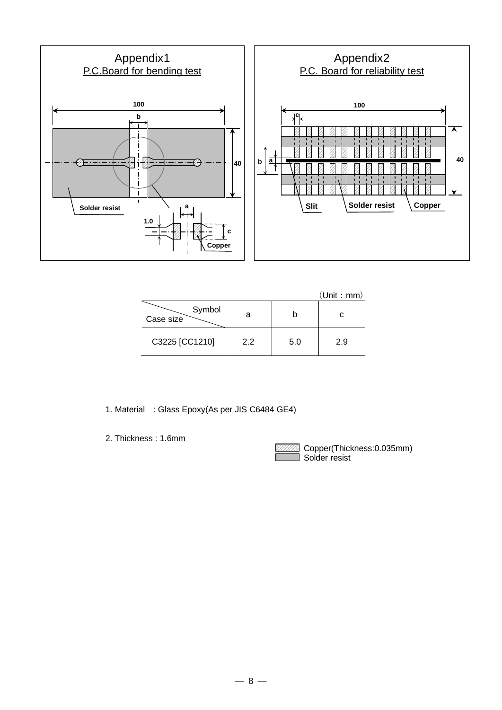

|                     |     |     | (Unit : mm) |
|---------------------|-----|-----|-------------|
| Symbol<br>Case size | а   |     | С           |
| C3225 [CC1210]      | 2.2 | 5.0 | 2.9         |

- 1. Material : Glass Epoxy(As per JIS C6484 GE4)
- 2. Thickness : 1.6mm

 Copper(Thickness:0.035mm) Solder resist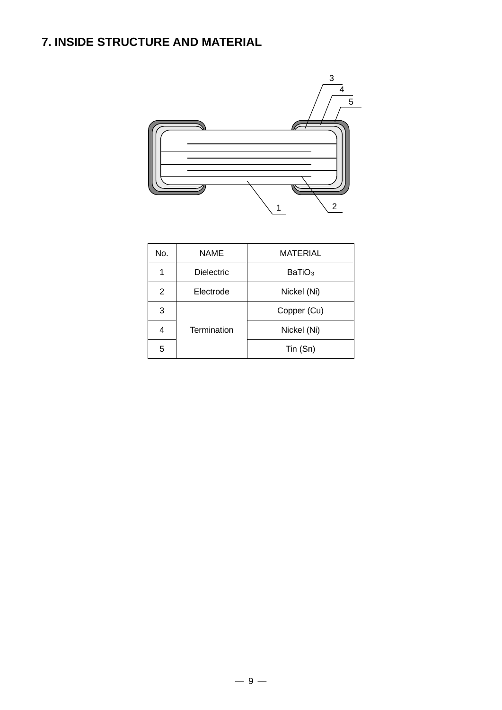# **7. INSIDE STRUCTURE AND MATERIAL**



| No.            | <b>NAME</b><br><b>MATERIAL</b>          |             |  |  |
|----------------|-----------------------------------------|-------------|--|--|
| 1              | <b>Dielectric</b><br>BaTiO <sub>3</sub> |             |  |  |
| $\overline{2}$ | Electrode                               | Nickel (Ni) |  |  |
| 3              | Copper (Cu)                             |             |  |  |
| 4              | Termination                             | Nickel (Ni) |  |  |
| 5              |                                         | Tin (Sn)    |  |  |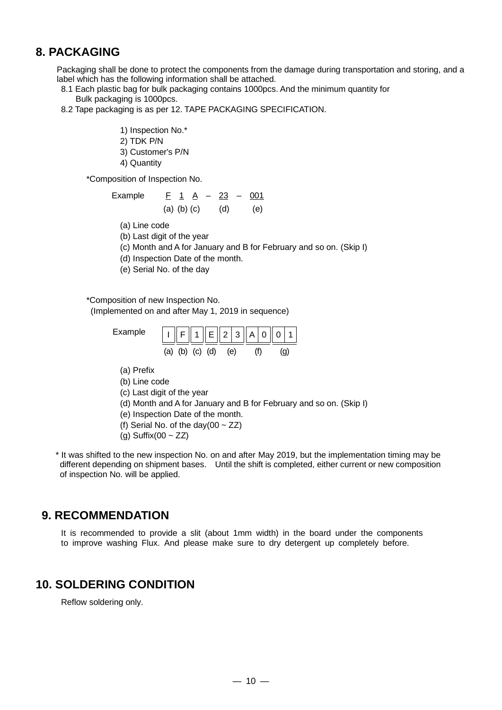### **8. PACKAGING**

Packaging shall be done to protect the components from the damage during transportation and storing, and a label which has the following information shall be attached.

- 8.1 Each plastic bag for bulk packaging contains 1000pcs. And the minimum quantity for Bulk packaging is 1000pcs.
- 8.2 Tape packaging is as per 12. TAPE PACKAGING SPECIFICATION.
	- 1) Inspection No.\*
	- 2) TDK P/N
	- 3) Customer's P/N
	- 4) Quantity

\*Composition of Inspection No.

Example 
$$
\underline{F} \ 1 \ \underline{A} - 23 \ - \ \underline{001}
$$
  
(a) (b) (c) (d) (e)

- (a) Line code
- (b) Last digit of the year
- (c) Month and A for January and B for February and so on. (Skip I)
- (d) Inspection Date of the month.
- (e) Serial No. of the day

\*Composition of new Inspection No.

(Implemented on and after May 1, 2019 in sequence)

- Example  $|| \cdot ||_F ||_1 ||_E ||_2 ||_3 ||_A ||_0 ||_0$ (b) (c) (d) (e) (f)  $(q)$ 
	- (a) Prefix
	- (b) Line code
	- (c) Last digit of the year
- (d) Month and A for January and B for February and so on. (Skip I)
- (e) Inspection Date of the month.
- (f) Serial No. of the day(00  $\sim$  ZZ)
- (g) Suffix(00  $\sim$  ZZ)

\* It was shifted to the new inspection No. on and after May 2019, but the implementation timing may be different depending on shipment bases. Until the shift is completed, either current or new composition of inspection No. will be applied.

### **9. RECOMMENDATION**

It is recommended to provide a slit (about 1mm width) in the board under the components to improve washing Flux. And please make sure to dry detergent up completely before.

### **10. SOLDERING CONDITION**

Reflow soldering only.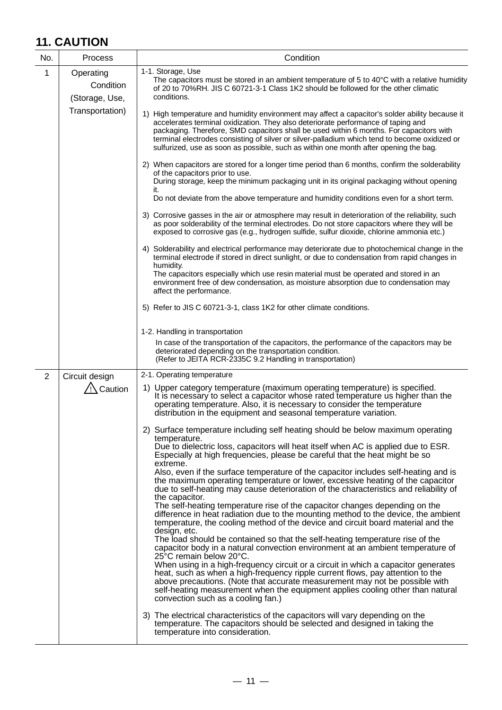# **11. CAUTION**

| No.            | Process                                                     | Condition                                                                                                                                                                                                                                                                                                                                                                                                                                                                                                                                                                                                                                                                                                                                                                                                                                                                                                                                                                                                                                                                                                                                                                                                                                                                                                                                                                                                                                                                                                                                                                                                                                                                                                                                                                                                                                                                  |
|----------------|-------------------------------------------------------------|----------------------------------------------------------------------------------------------------------------------------------------------------------------------------------------------------------------------------------------------------------------------------------------------------------------------------------------------------------------------------------------------------------------------------------------------------------------------------------------------------------------------------------------------------------------------------------------------------------------------------------------------------------------------------------------------------------------------------------------------------------------------------------------------------------------------------------------------------------------------------------------------------------------------------------------------------------------------------------------------------------------------------------------------------------------------------------------------------------------------------------------------------------------------------------------------------------------------------------------------------------------------------------------------------------------------------------------------------------------------------------------------------------------------------------------------------------------------------------------------------------------------------------------------------------------------------------------------------------------------------------------------------------------------------------------------------------------------------------------------------------------------------------------------------------------------------------------------------------------------------|
| 1              | Operating<br>Condition<br>(Storage, Use,<br>Transportation) | 1-1. Storage, Use<br>The capacitors must be stored in an ambient temperature of 5 to 40°C with a relative humidity<br>of 20 to 70%RH. JIS C 60721-3-1 Class 1K2 should be followed for the other climatic<br>conditions.                                                                                                                                                                                                                                                                                                                                                                                                                                                                                                                                                                                                                                                                                                                                                                                                                                                                                                                                                                                                                                                                                                                                                                                                                                                                                                                                                                                                                                                                                                                                                                                                                                                   |
|                |                                                             | 1) High temperature and humidity environment may affect a capacitor's solder ability because it<br>accelerates terminal oxidization. They also deteriorate performance of taping and<br>packaging. Therefore, SMD capacitors shall be used within 6 months. For capacitors with<br>terminal electrodes consisting of silver or silver-palladium which tend to become oxidized or<br>sulfurized, use as soon as possible, such as within one month after opening the bag.<br>2) When capacitors are stored for a longer time period than 6 months, confirm the solderability<br>of the capacitors prior to use.<br>During storage, keep the minimum packaging unit in its original packaging without opening<br>it.<br>Do not deviate from the above temperature and humidity conditions even for a short term.<br>3) Corrosive gasses in the air or atmosphere may result in deterioration of the reliability, such<br>as poor solderability of the terminal electrodes. Do not store capacitors where they will be<br>exposed to corrosive gas (e.g., hydrogen sulfide, sulfur dioxide, chlorine ammonia etc.)<br>4) Solderability and electrical performance may deteriorate due to photochemical change in the<br>terminal electrode if stored in direct sunlight, or due to condensation from rapid changes in<br>humidity.<br>The capacitors especially which use resin material must be operated and stored in an<br>environment free of dew condensation, as moisture absorption due to condensation may<br>affect the performance.<br>5) Refer to JIS C 60721-3-1, class 1K2 for other climate conditions.<br>1-2. Handling in transportation<br>In case of the transportation of the capacitors, the performance of the capacitors may be<br>deteriorated depending on the transportation condition.<br>(Refer to JEITA RCR-2335C 9.2 Handling in transportation) |
| $\overline{2}$ | Circuit design                                              | 2-1. Operating temperature                                                                                                                                                                                                                                                                                                                                                                                                                                                                                                                                                                                                                                                                                                                                                                                                                                                                                                                                                                                                                                                                                                                                                                                                                                                                                                                                                                                                                                                                                                                                                                                                                                                                                                                                                                                                                                                 |
|                | $\sqrt{2}$ Caution                                          | 1) Upper category temperature (maximum operating temperature) is specified.<br>It is necessary to select a capacitor whose rated temperature us higher than the<br>operating temperature. Also, it is necessary to consider the temperature<br>distribution in the equipment and seasonal temperature variation.                                                                                                                                                                                                                                                                                                                                                                                                                                                                                                                                                                                                                                                                                                                                                                                                                                                                                                                                                                                                                                                                                                                                                                                                                                                                                                                                                                                                                                                                                                                                                           |
|                |                                                             | 2) Surface temperature including self heating should be below maximum operating<br>temperature.<br>Due to dielectric loss, capacitors will heat itself when AC is applied due to ESR.<br>Especially at high frequencies, please be careful that the heat might be so<br>extreme.<br>Also, even if the surface temperature of the capacitor includes self-heating and is<br>the maximum operating temperature or lower, excessive heating of the capacitor<br>due to self-heating may cause deterioration of the characteristics and reliability of<br>the capacitor.<br>The self-heating temperature rise of the capacitor changes depending on the<br>difference in heat radiation due to the mounting method to the device, the ambient<br>temperature, the cooling method of the device and circuit board material and the<br>design, etc.<br>The load should be contained so that the self-heating temperature rise of the<br>capacitor body in a natural convection environment at an ambient temperature of<br>25°C remain below 20°C.<br>When using in a high-frequency circuit or a circuit in which a capacitor generates<br>heat, such as when a high-frequency ripple current flows, pay attention to the<br>above precautions. (Note that accurate measurement may not be possible with<br>self-heating measurement when the equipment applies cooling other than natural<br>convection such as a cooling fan.)<br>3) The electrical characteristics of the capacitors will vary depending on the<br>temperature. The capacitors should be selected and designed in taking the<br>temperature into consideration.                                                                                                                                                                                                                                              |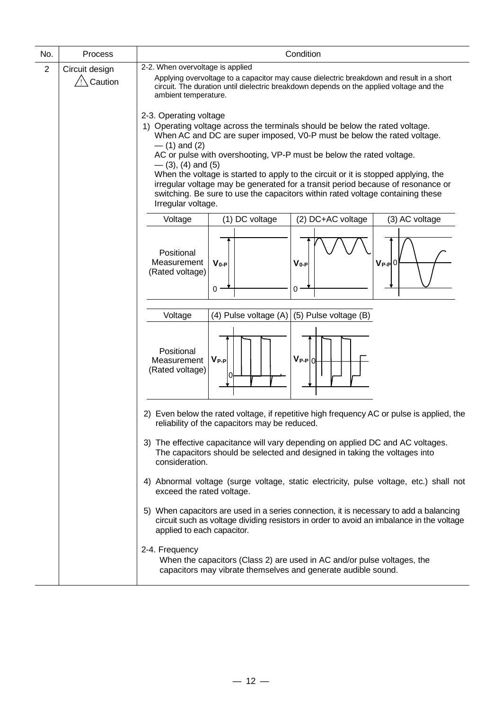| No.            | Process                                     | Condition                                                                                                                                                                                                                                                                     |  |  |  |  |  |
|----------------|---------------------------------------------|-------------------------------------------------------------------------------------------------------------------------------------------------------------------------------------------------------------------------------------------------------------------------------|--|--|--|--|--|
| $\overline{2}$ | Circuit design<br>$/$ ! $\setminus$ Caution | 2-2. When overvoltage is applied<br>Applying overvoltage to a capacitor may cause dielectric breakdown and result in a short                                                                                                                                                  |  |  |  |  |  |
|                |                                             | circuit. The duration until dielectric breakdown depends on the applied voltage and the<br>ambient temperature.                                                                                                                                                               |  |  |  |  |  |
|                |                                             | 2-3. Operating voltage<br>1) Operating voltage across the terminals should be below the rated voltage.                                                                                                                                                                        |  |  |  |  |  |
|                |                                             | When AC and DC are super imposed, V0-P must be below the rated voltage.<br>$-$ (1) and (2)                                                                                                                                                                                    |  |  |  |  |  |
|                |                                             | AC or pulse with overshooting, VP-P must be below the rated voltage.<br>$-$ (3), (4) and (5)                                                                                                                                                                                  |  |  |  |  |  |
|                |                                             | When the voltage is started to apply to the circuit or it is stopped applying, the<br>irregular voltage may be generated for a transit period because of resonance or<br>switching. Be sure to use the capacitors within rated voltage containing these<br>Irregular voltage. |  |  |  |  |  |
|                |                                             | (2) DC+AC voltage<br>(1) DC voltage<br>(3) AC voltage<br>Voltage                                                                                                                                                                                                              |  |  |  |  |  |
|                |                                             | Positional<br>Measurement<br>$V_{0-P}$<br>$V_{0-P}$<br>$V_{P-P}$ 0<br>(Rated voltage)<br>$0 \cdot$<br>0                                                                                                                                                                       |  |  |  |  |  |
|                |                                             |                                                                                                                                                                                                                                                                               |  |  |  |  |  |
|                |                                             | (4) Pulse voltage $(A)$ (5) Pulse voltage (B)<br>Voltage                                                                                                                                                                                                                      |  |  |  |  |  |
|                |                                             | Positional<br>$V_{P-P} 0 $<br>$V_{P-P}$<br>Measurement<br>(Rated voltage)                                                                                                                                                                                                     |  |  |  |  |  |
|                |                                             | 2) Even below the rated voltage, if repetitive high frequency AC or pulse is applied, the<br>reliability of the capacitors may be reduced.                                                                                                                                    |  |  |  |  |  |
|                |                                             | 3) The effective capacitance will vary depending on applied DC and AC voltages.<br>The capacitors should be selected and designed in taking the voltages into<br>consideration.                                                                                               |  |  |  |  |  |
|                |                                             | 4) Abnormal voltage (surge voltage, static electricity, pulse voltage, etc.) shall not<br>exceed the rated voltage.                                                                                                                                                           |  |  |  |  |  |
|                |                                             | 5) When capacitors are used in a series connection, it is necessary to add a balancing<br>circuit such as voltage dividing resistors in order to avoid an imbalance in the voltage<br>applied to each capacitor.                                                              |  |  |  |  |  |
|                |                                             | 2-4. Frequency<br>When the capacitors (Class 2) are used in AC and/or pulse voltages, the<br>capacitors may vibrate themselves and generate audible sound.                                                                                                                    |  |  |  |  |  |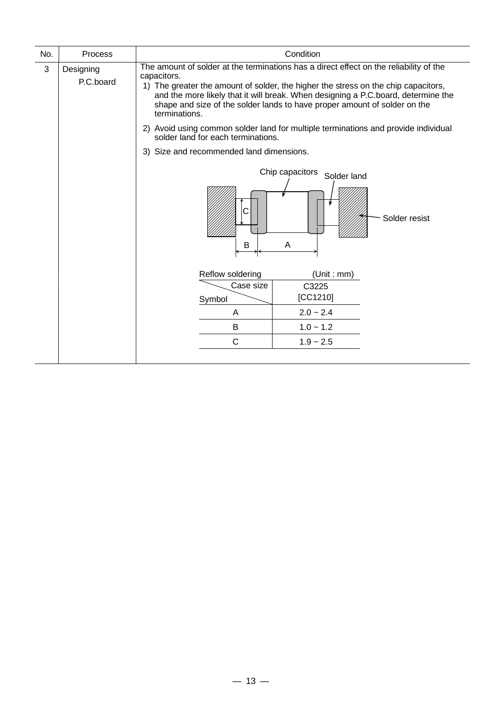| No. | Process                | Condition                                                                                                                                                                                                                                                                                                                                                                      |  |  |  |
|-----|------------------------|--------------------------------------------------------------------------------------------------------------------------------------------------------------------------------------------------------------------------------------------------------------------------------------------------------------------------------------------------------------------------------|--|--|--|
| 3   | Designing<br>P.C.board | The amount of solder at the terminations has a direct effect on the reliability of the<br>capacitors.<br>1) The greater the amount of solder, the higher the stress on the chip capacitors,<br>and the more likely that it will break. When designing a P.C.board, determine the<br>shape and size of the solder lands to have proper amount of solder on the<br>terminations. |  |  |  |
|     |                        | 2) Avoid using common solder land for multiple terminations and provide individual<br>solder land for each terminations.                                                                                                                                                                                                                                                       |  |  |  |
|     |                        | 3) Size and recommended land dimensions.                                                                                                                                                                                                                                                                                                                                       |  |  |  |
|     |                        | Chip capacitors<br>Solder land<br>Solder resist<br>B<br>A                                                                                                                                                                                                                                                                                                                      |  |  |  |
|     |                        | Reflow soldering<br>(Unit: mm)                                                                                                                                                                                                                                                                                                                                                 |  |  |  |
|     |                        | Case size<br>C3225<br>[CC1210]<br>Symbol                                                                                                                                                                                                                                                                                                                                       |  |  |  |
|     |                        | $2.0 - 2.4$<br>A                                                                                                                                                                                                                                                                                                                                                               |  |  |  |
|     |                        | $1.0 - 1.2$<br>B                                                                                                                                                                                                                                                                                                                                                               |  |  |  |
|     |                        | $\mathsf{C}$<br>$1.9 - 2.5$                                                                                                                                                                                                                                                                                                                                                    |  |  |  |
|     |                        |                                                                                                                                                                                                                                                                                                                                                                                |  |  |  |

 $\overline{\phantom{0}}$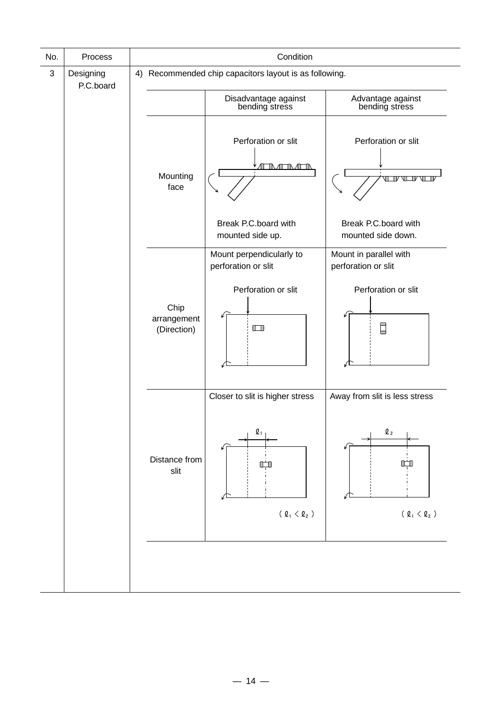| No. | Process                |                                    | Condition                                                             |                                                                       |  |
|-----|------------------------|------------------------------------|-----------------------------------------------------------------------|-----------------------------------------------------------------------|--|
| 3   | Designing<br>P.C.board |                                    | 4) Recommended chip capacitors layout is as following.                |                                                                       |  |
|     |                        |                                    | Disadvantage against<br>bending stress                                | Advantage against<br>bending stress                                   |  |
|     |                        | Mounting<br>face                   | Perforation or slit<br>ℿ℩℩℩ℿ℩                                         | Perforation or slit<br>TVUTV<br>VГ<br>Л                               |  |
|     |                        |                                    | Break P.C.board with<br>mounted side up.                              | Break P.C.board with<br>mounted side down.                            |  |
|     |                        |                                    | Mount perpendicularly to<br>perforation or slit                       | Mount in parallel with<br>perforation or slit                         |  |
|     |                        | Chip<br>arrangement<br>(Direction) | Perforation or slit<br>$\Box$                                         | Perforation or slit<br>β                                              |  |
|     |                        |                                    | Closer to slit is higher stress                                       | Away from slit is less stress                                         |  |
|     |                        | Distance from<br>slit              | $\mathbf{\mathfrak{Q}}_1$                                             | $\mathbf{Q}_{\,2}$                                                    |  |
|     |                        |                                    | ( $\varrho_{\scriptscriptstyle 1} < \varrho_{\scriptscriptstyle 2}$ ) | ( $\varrho_{\scriptscriptstyle 1} < \varrho_{\scriptscriptstyle 2}$ ) |  |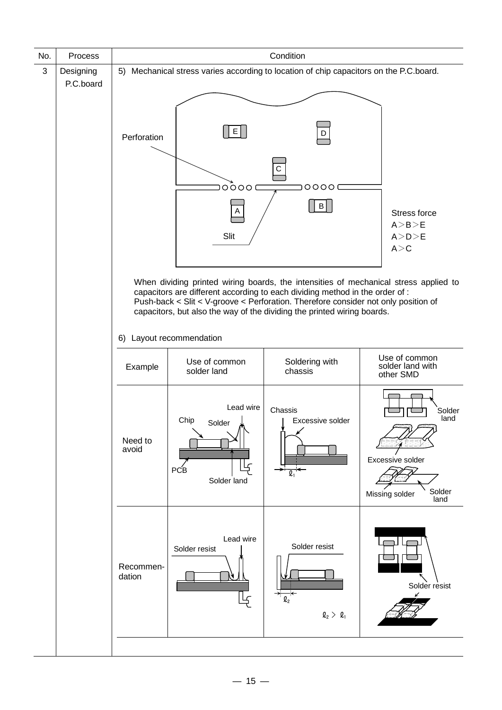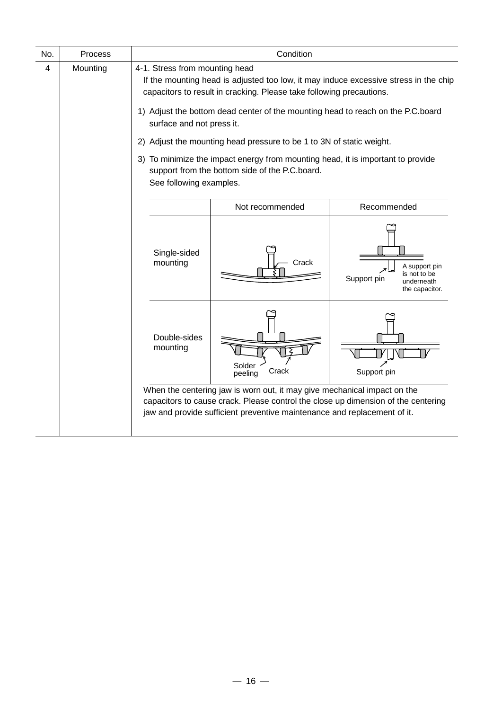| No. | Process  |                                                                                                                                                                                                | Condition                                                                                                                                                                                                                                 |                                                                              |  |  |  |
|-----|----------|------------------------------------------------------------------------------------------------------------------------------------------------------------------------------------------------|-------------------------------------------------------------------------------------------------------------------------------------------------------------------------------------------------------------------------------------------|------------------------------------------------------------------------------|--|--|--|
| 4   | Mounting | 4-1. Stress from mounting head<br>If the mounting head is adjusted too low, it may induce excessive stress in the chip<br>capacitors to result in cracking. Please take following precautions. |                                                                                                                                                                                                                                           |                                                                              |  |  |  |
|     |          | surface and not press it.                                                                                                                                                                      | 1) Adjust the bottom dead center of the mounting head to reach on the P.C.board                                                                                                                                                           |                                                                              |  |  |  |
|     |          | 2)                                                                                                                                                                                             | Adjust the mounting head pressure to be 1 to 3N of static weight.                                                                                                                                                                         |                                                                              |  |  |  |
|     |          | To minimize the impact energy from mounting head, it is important to provide<br>3)<br>support from the bottom side of the P.C.board.<br>See following examples.                                |                                                                                                                                                                                                                                           |                                                                              |  |  |  |
|     |          | Recommended<br>Not recommended                                                                                                                                                                 |                                                                                                                                                                                                                                           |                                                                              |  |  |  |
|     |          | Single-sided<br>mounting                                                                                                                                                                       | Crack                                                                                                                                                                                                                                     | A support pin<br>is not to be<br>Support pin<br>underneath<br>the capacitor. |  |  |  |
|     |          | Double-sides<br>mounting                                                                                                                                                                       | Solder<br>Crack<br>peeling                                                                                                                                                                                                                | Support pin                                                                  |  |  |  |
|     |          |                                                                                                                                                                                                | When the centering jaw is worn out, it may give mechanical impact on the<br>capacitors to cause crack. Please control the close up dimension of the centering<br>jaw and provide sufficient preventive maintenance and replacement of it. |                                                                              |  |  |  |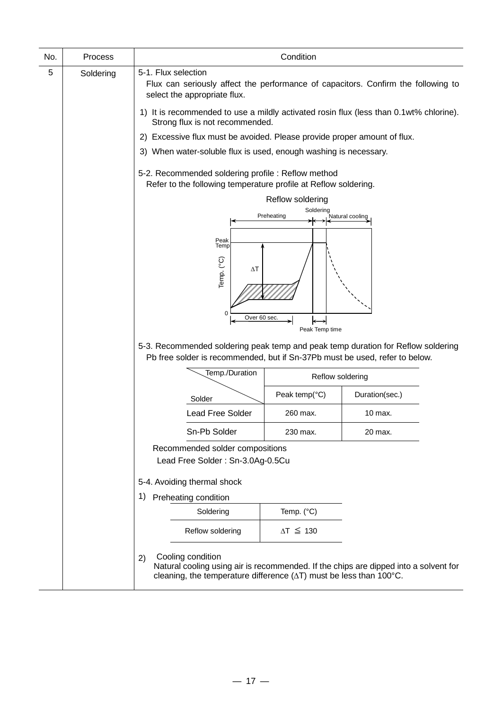| No. | Process   |                                                                                                                                                                 | Condition               |                                                                                      |  |  |  |
|-----|-----------|-----------------------------------------------------------------------------------------------------------------------------------------------------------------|-------------------------|--------------------------------------------------------------------------------------|--|--|--|
| 5   | Soldering | 5-1. Flux selection<br>Flux can seriously affect the performance of capacitors. Confirm the following to<br>select the appropriate flux.                        |                         |                                                                                      |  |  |  |
|     |           | 1) It is recommended to use a mildly activated rosin flux (less than 0.1wt% chlorine).<br>Strong flux is not recommended.                                       |                         |                                                                                      |  |  |  |
|     |           | 2) Excessive flux must be avoided. Please provide proper amount of flux.                                                                                        |                         |                                                                                      |  |  |  |
|     |           | 3) When water-soluble flux is used, enough washing is necessary.                                                                                                |                         |                                                                                      |  |  |  |
|     |           | 5-2. Recommended soldering profile: Reflow method<br>Refer to the following temperature profile at Reflow soldering.                                            |                         |                                                                                      |  |  |  |
|     |           |                                                                                                                                                                 | Reflow soldering        |                                                                                      |  |  |  |
|     |           |                                                                                                                                                                 | Soldering<br>Preheating | Natural cooling                                                                      |  |  |  |
|     |           | Peak<br>Temp                                                                                                                                                    |                         |                                                                                      |  |  |  |
|     |           | Temp. (°C)<br>$\Delta T$<br>$\mathbf 0$<br>Over 60 sec.                                                                                                         | Peak Temp time          |                                                                                      |  |  |  |
|     |           | 5-3. Recommended soldering peak temp and peak temp duration for Reflow soldering<br>Pb free solder is recommended, but if Sn-37Pb must be used, refer to below. |                         |                                                                                      |  |  |  |
|     |           | Temp./Duration                                                                                                                                                  | Reflow soldering        |                                                                                      |  |  |  |
|     |           | Solder                                                                                                                                                          | Peak temp(°C)           | Duration(sec.)                                                                       |  |  |  |
|     |           | <b>Lead Free Solder</b>                                                                                                                                         | 260 max.                | 10 max.                                                                              |  |  |  |
|     |           | Sn-Pb Solder                                                                                                                                                    | 230 max.                | 20 max.                                                                              |  |  |  |
|     |           | Recommended solder compositions<br>Lead Free Solder: Sn-3.0Ag-0.5Cu                                                                                             |                         |                                                                                      |  |  |  |
|     |           | 5-4. Avoiding thermal shock                                                                                                                                     |                         |                                                                                      |  |  |  |
|     |           | Preheating condition<br>1)                                                                                                                                      |                         |                                                                                      |  |  |  |
|     |           | Soldering                                                                                                                                                       | Temp. $(^{\circ}C)$     |                                                                                      |  |  |  |
|     |           | Reflow soldering                                                                                                                                                | $\Delta T \leq 130$     |                                                                                      |  |  |  |
|     |           | Cooling condition<br>2)<br>cleaning, the temperature difference $(\Delta T)$ must be less than 100 $^{\circ}$ C.                                                |                         | Natural cooling using air is recommended. If the chips are dipped into a solvent for |  |  |  |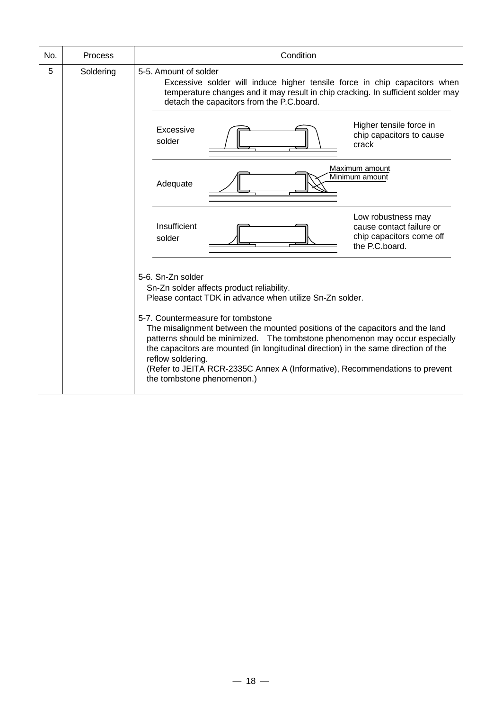| No. | Process   | Condition                                                                                                                                                                                                                                                                                                                        |  |  |  |  |  |  |
|-----|-----------|----------------------------------------------------------------------------------------------------------------------------------------------------------------------------------------------------------------------------------------------------------------------------------------------------------------------------------|--|--|--|--|--|--|
| 5   | Soldering | 5-5. Amount of solder<br>Excessive solder will induce higher tensile force in chip capacitors when<br>temperature changes and it may result in chip cracking. In sufficient solder may<br>detach the capacitors from the P.C.board.                                                                                              |  |  |  |  |  |  |
|     |           | Higher tensile force in<br>Excessive<br>chip capacitors to cause<br>solder<br>crack                                                                                                                                                                                                                                              |  |  |  |  |  |  |
|     |           | Maximum amount<br>Minimum amount<br>Adequate                                                                                                                                                                                                                                                                                     |  |  |  |  |  |  |
|     |           | Low robustness may<br>Insufficient<br>cause contact failure or<br>chip capacitors come off<br>solder<br>the P.C.board.                                                                                                                                                                                                           |  |  |  |  |  |  |
|     |           | 5-6. Sn-Zn solder<br>Sn-Zn solder affects product reliability.<br>Please contact TDK in advance when utilize Sn-Zn solder.<br>5-7. Countermeasure for tombstone<br>The misalignment between the mounted positions of the capacitors and the land<br>patterns should be minimized.  The tombstone phenomenon may occur especially |  |  |  |  |  |  |
|     |           | the capacitors are mounted (in longitudinal direction) in the same direction of the<br>reflow soldering.<br>(Refer to JEITA RCR-2335C Annex A (Informative), Recommendations to prevent<br>the tombstone phenomenon.)                                                                                                            |  |  |  |  |  |  |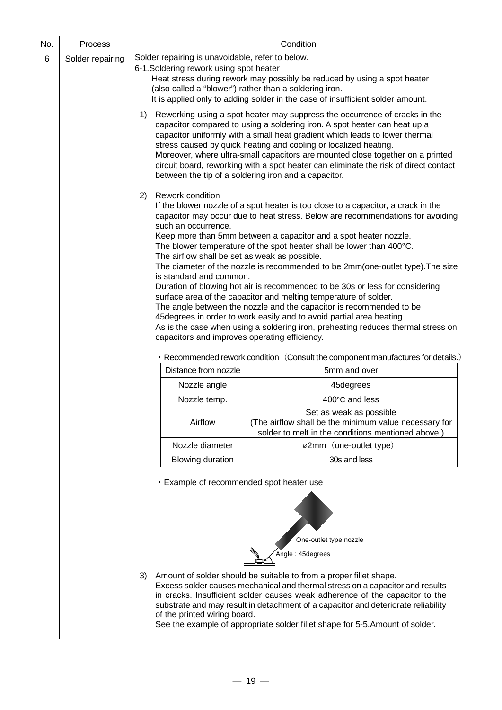| No. | Process                                                                                                                                                                                                                                                                                                                                                                                                                                                                                                                                                                                                                                                                                                                                                                                                                                                                                                                |                                                                                                                                                                                                                                                                                                                                                                                                                                                                                                                                              | Condition                                                                                                                                                                                                                                                                                                                                                                                                 |  |  |  |  |
|-----|------------------------------------------------------------------------------------------------------------------------------------------------------------------------------------------------------------------------------------------------------------------------------------------------------------------------------------------------------------------------------------------------------------------------------------------------------------------------------------------------------------------------------------------------------------------------------------------------------------------------------------------------------------------------------------------------------------------------------------------------------------------------------------------------------------------------------------------------------------------------------------------------------------------------|----------------------------------------------------------------------------------------------------------------------------------------------------------------------------------------------------------------------------------------------------------------------------------------------------------------------------------------------------------------------------------------------------------------------------------------------------------------------------------------------------------------------------------------------|-----------------------------------------------------------------------------------------------------------------------------------------------------------------------------------------------------------------------------------------------------------------------------------------------------------------------------------------------------------------------------------------------------------|--|--|--|--|
| 6   | Solder repairing                                                                                                                                                                                                                                                                                                                                                                                                                                                                                                                                                                                                                                                                                                                                                                                                                                                                                                       | Solder repairing is unavoidable, refer to below.<br>6-1. Soldering rework using spot heater<br>Heat stress during rework may possibly be reduced by using a spot heater<br>(also called a "blower") rather than a soldering iron.<br>It is applied only to adding solder in the case of insufficient solder amount.                                                                                                                                                                                                                          |                                                                                                                                                                                                                                                                                                                                                                                                           |  |  |  |  |
|     |                                                                                                                                                                                                                                                                                                                                                                                                                                                                                                                                                                                                                                                                                                                                                                                                                                                                                                                        | Reworking using a spot heater may suppress the occurrence of cracks in the<br>capacitor compared to using a soldering iron. A spot heater can heat up a<br>capacitor uniformly with a small heat gradient which leads to lower thermal<br>stress caused by quick heating and cooling or localized heating.<br>Moreover, where ultra-small capacitors are mounted close together on a printed<br>circuit board, reworking with a spot heater can eliminate the risk of direct contact<br>between the tip of a soldering iron and a capacitor. |                                                                                                                                                                                                                                                                                                                                                                                                           |  |  |  |  |
|     | If the blower nozzle of a spot heater is too close to a capacitor, a crack in the<br>capacitor may occur due to heat stress. Below are recommendations for avoiding<br>Keep more than 5mm between a capacitor and a spot heater nozzle.<br>The blower temperature of the spot heater shall be lower than 400°C.<br>The airflow shall be set as weak as possible.<br>The diameter of the nozzle is recommended to be 2mm(one-outlet type). The size<br>is standard and common.<br>Duration of blowing hot air is recommended to be 30s or less for considering<br>surface area of the capacitor and melting temperature of solder.<br>The angle between the nozzle and the capacitor is recommended to be<br>45 degrees in order to work easily and to avoid partial area heating.<br>As is the case when using a soldering iron, preheating reduces thermal stress on<br>capacitors and improves operating efficiency. |                                                                                                                                                                                                                                                                                                                                                                                                                                                                                                                                              |                                                                                                                                                                                                                                                                                                                                                                                                           |  |  |  |  |
|     |                                                                                                                                                                                                                                                                                                                                                                                                                                                                                                                                                                                                                                                                                                                                                                                                                                                                                                                        |                                                                                                                                                                                                                                                                                                                                                                                                                                                                                                                                              | · Recommended rework condition (Consult the component manufactures for details.)                                                                                                                                                                                                                                                                                                                          |  |  |  |  |
|     |                                                                                                                                                                                                                                                                                                                                                                                                                                                                                                                                                                                                                                                                                                                                                                                                                                                                                                                        | Distance from nozzle                                                                                                                                                                                                                                                                                                                                                                                                                                                                                                                         | 5mm and over                                                                                                                                                                                                                                                                                                                                                                                              |  |  |  |  |
|     |                                                                                                                                                                                                                                                                                                                                                                                                                                                                                                                                                                                                                                                                                                                                                                                                                                                                                                                        | Nozzle angle                                                                                                                                                                                                                                                                                                                                                                                                                                                                                                                                 | 45degrees                                                                                                                                                                                                                                                                                                                                                                                                 |  |  |  |  |
|     |                                                                                                                                                                                                                                                                                                                                                                                                                                                                                                                                                                                                                                                                                                                                                                                                                                                                                                                        | Nozzle temp.                                                                                                                                                                                                                                                                                                                                                                                                                                                                                                                                 | 400°C and less                                                                                                                                                                                                                                                                                                                                                                                            |  |  |  |  |
|     |                                                                                                                                                                                                                                                                                                                                                                                                                                                                                                                                                                                                                                                                                                                                                                                                                                                                                                                        | Airflow                                                                                                                                                                                                                                                                                                                                                                                                                                                                                                                                      | Set as weak as possible<br>(The airflow shall be the minimum value necessary for<br>solder to melt in the conditions mentioned above.)                                                                                                                                                                                                                                                                    |  |  |  |  |
|     |                                                                                                                                                                                                                                                                                                                                                                                                                                                                                                                                                                                                                                                                                                                                                                                                                                                                                                                        | Nozzle diameter                                                                                                                                                                                                                                                                                                                                                                                                                                                                                                                              | ø2mm (one-outlet type)                                                                                                                                                                                                                                                                                                                                                                                    |  |  |  |  |
|     |                                                                                                                                                                                                                                                                                                                                                                                                                                                                                                                                                                                                                                                                                                                                                                                                                                                                                                                        | <b>Blowing duration</b>                                                                                                                                                                                                                                                                                                                                                                                                                                                                                                                      | 30s and less                                                                                                                                                                                                                                                                                                                                                                                              |  |  |  |  |
|     |                                                                                                                                                                                                                                                                                                                                                                                                                                                                                                                                                                                                                                                                                                                                                                                                                                                                                                                        | · Example of recommended spot heater use                                                                                                                                                                                                                                                                                                                                                                                                                                                                                                     |                                                                                                                                                                                                                                                                                                                                                                                                           |  |  |  |  |
|     |                                                                                                                                                                                                                                                                                                                                                                                                                                                                                                                                                                                                                                                                                                                                                                                                                                                                                                                        |                                                                                                                                                                                                                                                                                                                                                                                                                                                                                                                                              | One-outlet type nozzle<br>Angle: 45degrees                                                                                                                                                                                                                                                                                                                                                                |  |  |  |  |
|     |                                                                                                                                                                                                                                                                                                                                                                                                                                                                                                                                                                                                                                                                                                                                                                                                                                                                                                                        | 3)<br>of the printed wiring board.                                                                                                                                                                                                                                                                                                                                                                                                                                                                                                           | Amount of solder should be suitable to from a proper fillet shape.<br>Excess solder causes mechanical and thermal stress on a capacitor and results<br>in cracks. Insufficient solder causes weak adherence of the capacitor to the<br>substrate and may result in detachment of a capacitor and deteriorate reliability<br>See the example of appropriate solder fillet shape for 5-5. Amount of solder. |  |  |  |  |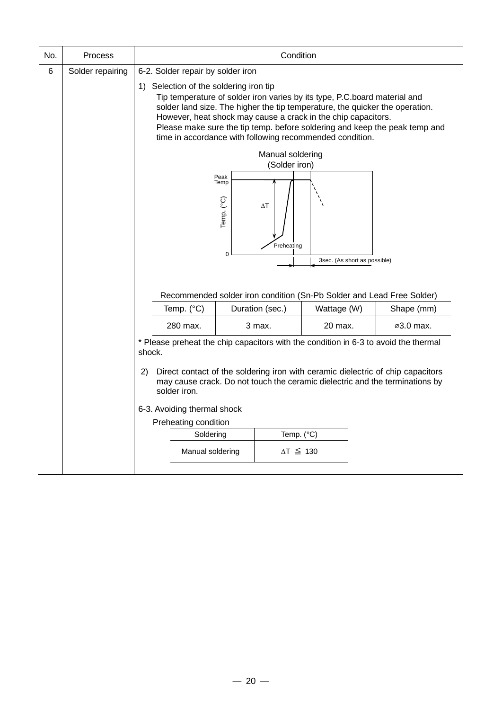| Process          | Condition                                                                                                                                                                                                                                                                                                                                                                                                      |                                                                                                                                                                                |                                                       |         |                                                                        |  |  |
|------------------|----------------------------------------------------------------------------------------------------------------------------------------------------------------------------------------------------------------------------------------------------------------------------------------------------------------------------------------------------------------------------------------------------------------|--------------------------------------------------------------------------------------------------------------------------------------------------------------------------------|-------------------------------------------------------|---------|------------------------------------------------------------------------|--|--|
| Solder repairing | 6-2. Solder repair by solder iron                                                                                                                                                                                                                                                                                                                                                                              |                                                                                                                                                                                |                                                       |         |                                                                        |  |  |
|                  | 1) Selection of the soldering iron tip<br>Tip temperature of solder iron varies by its type, P.C.board material and<br>solder land size. The higher the tip temperature, the quicker the operation.<br>However, heat shock may cause a crack in the chip capacitors.<br>Please make sure the tip temp. before soldering and keep the peak temp and<br>time in accordance with following recommended condition. |                                                                                                                                                                                |                                                       |         |                                                                        |  |  |
|                  |                                                                                                                                                                                                                                                                                                                                                                                                                |                                                                                                                                                                                |                                                       |         |                                                                        |  |  |
|                  |                                                                                                                                                                                                                                                                                                                                                                                                                |                                                                                                                                                                                |                                                       |         |                                                                        |  |  |
|                  |                                                                                                                                                                                                                                                                                                                                                                                                                | Peak<br>Temp<br>Temp. (°C)<br>$\Delta T$<br>Preheating<br>$\mathbf 0$<br>3sec. (As short as possible)<br>Recommended solder iron condition (Sn-Pb Solder and Lead Free Solder) |                                                       |         |                                                                        |  |  |
|                  | Temp. (°C)                                                                                                                                                                                                                                                                                                                                                                                                     | Duration (sec.)<br>Wattage (W)<br>Shape (mm)                                                                                                                                   |                                                       |         |                                                                        |  |  |
|                  | 280 max.                                                                                                                                                                                                                                                                                                                                                                                                       |                                                                                                                                                                                |                                                       | 20 max. | ⊘3.0 max.                                                              |  |  |
|                  | shock.                                                                                                                                                                                                                                                                                                                                                                                                         | * Please preheat the chip capacitors with the condition in 6-3 to avoid the thermal                                                                                            |                                                       |         |                                                                        |  |  |
|                  | Direct contact of the soldering iron with ceramic dielectric of chip capacitors<br>2)<br>may cause crack. Do not touch the ceramic dielectric and the terminations by<br>solder iron.                                                                                                                                                                                                                          |                                                                                                                                                                                |                                                       |         |                                                                        |  |  |
|                  | 6-3. Avoiding thermal shock                                                                                                                                                                                                                                                                                                                                                                                    |                                                                                                                                                                                |                                                       |         |                                                                        |  |  |
|                  |                                                                                                                                                                                                                                                                                                                                                                                                                |                                                                                                                                                                                |                                                       |         |                                                                        |  |  |
|                  |                                                                                                                                                                                                                                                                                                                                                                                                                |                                                                                                                                                                                |                                                       |         |                                                                        |  |  |
|                  |                                                                                                                                                                                                                                                                                                                                                                                                                |                                                                                                                                                                                |                                                       |         |                                                                        |  |  |
|                  |                                                                                                                                                                                                                                                                                                                                                                                                                |                                                                                                                                                                                | Preheating condition<br>Soldering<br>Manual soldering | 3 max.  | Manual soldering<br>(Solder iron)<br>Temp. (°C)<br>$\Delta T \leq 130$ |  |  |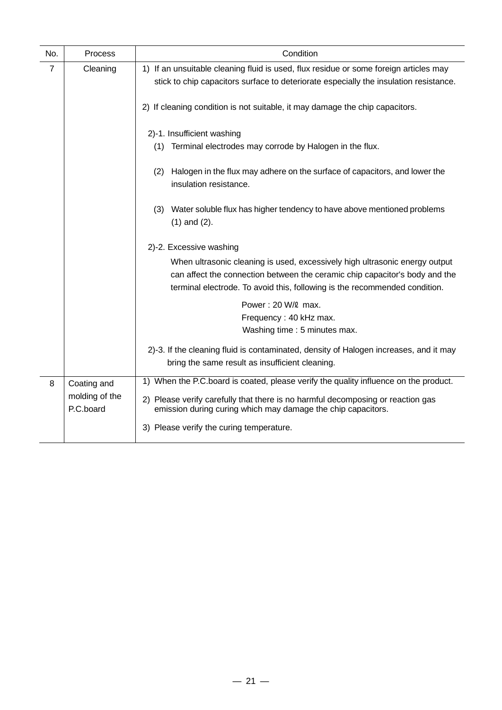| No.            | Process                     | Condition                                                                                                                                                                                                                                |
|----------------|-----------------------------|------------------------------------------------------------------------------------------------------------------------------------------------------------------------------------------------------------------------------------------|
| $\overline{7}$ | Cleaning                    | 1) If an unsuitable cleaning fluid is used, flux residue or some foreign articles may                                                                                                                                                    |
|                |                             | stick to chip capacitors surface to deteriorate especially the insulation resistance.                                                                                                                                                    |
|                |                             | 2) If cleaning condition is not suitable, it may damage the chip capacitors.                                                                                                                                                             |
|                |                             | 2)-1. Insufficient washing                                                                                                                                                                                                               |
|                |                             | (1) Terminal electrodes may corrode by Halogen in the flux.                                                                                                                                                                              |
|                |                             | Halogen in the flux may adhere on the surface of capacitors, and lower the<br>(2)<br>insulation resistance.                                                                                                                              |
|                |                             | (3) Water soluble flux has higher tendency to have above mentioned problems<br>$(1)$ and $(2)$ .                                                                                                                                         |
|                |                             | 2)-2. Excessive washing                                                                                                                                                                                                                  |
|                |                             | When ultrasonic cleaning is used, excessively high ultrasonic energy output<br>can affect the connection between the ceramic chip capacitor's body and the<br>terminal electrode. To avoid this, following is the recommended condition. |
|                |                             | Power: 20 W/2 max.                                                                                                                                                                                                                       |
|                |                             | Frequency: 40 kHz max.<br>Washing time : 5 minutes max.                                                                                                                                                                                  |
|                |                             | 2)-3. If the cleaning fluid is contaminated, density of Halogen increases, and it may<br>bring the same result as insufficient cleaning.                                                                                                 |
| 8              | Coating and                 | 1) When the P.C.board is coated, please verify the quality influence on the product.                                                                                                                                                     |
|                | molding of the<br>P.C.board | 2) Please verify carefully that there is no harmful decomposing or reaction gas<br>emission during curing which may damage the chip capacitors.                                                                                          |
|                |                             | 3) Please verify the curing temperature.                                                                                                                                                                                                 |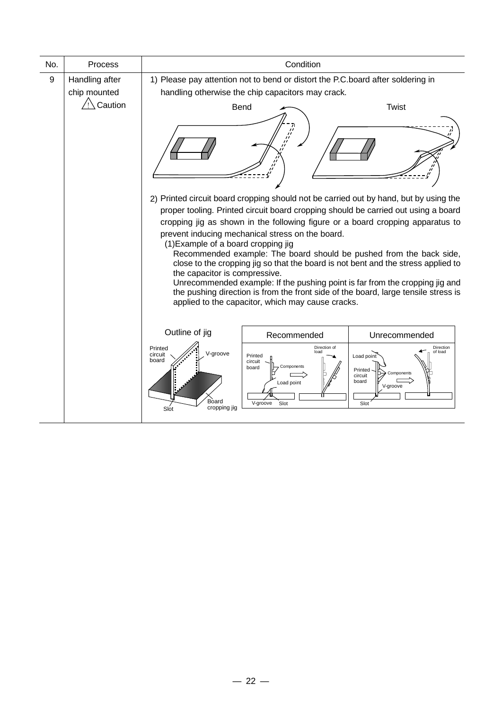| No. | Process                        | Condition                                                                |                                                                                                                                      |                                                                                                                                                                                                                                                                                                                                                                                                                                                                                                                                                                                                 |  |  |
|-----|--------------------------------|--------------------------------------------------------------------------|--------------------------------------------------------------------------------------------------------------------------------------|-------------------------------------------------------------------------------------------------------------------------------------------------------------------------------------------------------------------------------------------------------------------------------------------------------------------------------------------------------------------------------------------------------------------------------------------------------------------------------------------------------------------------------------------------------------------------------------------------|--|--|
| 9   | Handling after<br>chip mounted |                                                                          | 1) Please pay attention not to bend or distort the P.C.board after soldering in<br>handling otherwise the chip capacitors may crack. |                                                                                                                                                                                                                                                                                                                                                                                                                                                                                                                                                                                                 |  |  |
|     | $\bigwedge$ Caution            | Bend                                                                     | $\frac{\partial}{\partial t}$                                                                                                        | <b>Twist</b>                                                                                                                                                                                                                                                                                                                                                                                                                                                                                                                                                                                    |  |  |
|     |                                | (1) Example of a board cropping jig<br>the capacitor is compressive.     | prevent inducing mechanical stress on the board.<br>applied to the capacitor, which may cause cracks.                                | 2) Printed circuit board cropping should not be carried out by hand, but by using the<br>proper tooling. Printed circuit board cropping should be carried out using a board<br>cropping jig as shown in the following figure or a board cropping apparatus to<br>Recommended example: The board should be pushed from the back side,<br>close to the cropping jig so that the board is not bent and the stress applied to<br>Unrecommended example: If the pushing point is far from the cropping jig and<br>the pushing direction is from the front side of the board, large tensile stress is |  |  |
|     |                                | Outline of jig                                                           | Recommended                                                                                                                          | Unrecommended                                                                                                                                                                                                                                                                                                                                                                                                                                                                                                                                                                                   |  |  |
|     |                                | Printed<br>V-groove<br>circuit<br>board<br>Board<br>cropping jig<br>Slot | Direction of<br>load<br>Printed<br>circuit<br>Components<br>board<br>Load point<br>V-groove<br>Slot                                  | Direction<br>of load<br>Load point<br>Printed<br>Components<br>circuit<br>board<br>V-groove<br>Slot                                                                                                                                                                                                                                                                                                                                                                                                                                                                                             |  |  |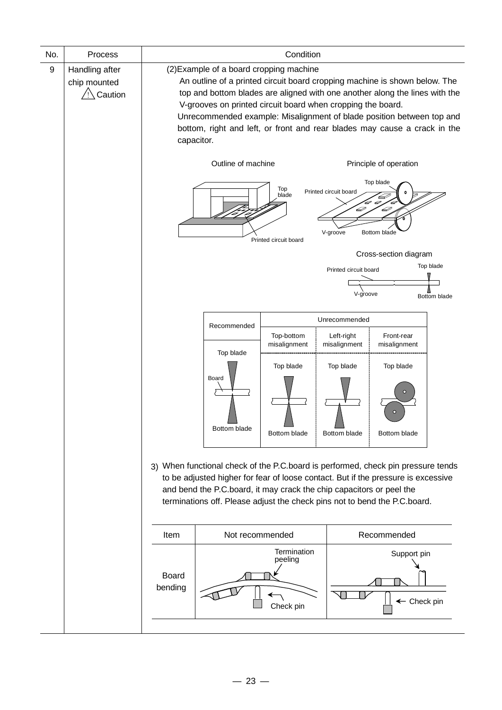| No. | Process                                   | Condition                                                                                                                                                                                                                                                                                                                                                                                                                               |                                                                                                                                                                                                                                                                                                                            |                                       |                                        |                                                                                   |                           |  |
|-----|-------------------------------------------|-----------------------------------------------------------------------------------------------------------------------------------------------------------------------------------------------------------------------------------------------------------------------------------------------------------------------------------------------------------------------------------------------------------------------------------------|----------------------------------------------------------------------------------------------------------------------------------------------------------------------------------------------------------------------------------------------------------------------------------------------------------------------------|---------------------------------------|----------------------------------------|-----------------------------------------------------------------------------------|---------------------------|--|
| 9   | Handling after<br>chip mounted<br>Caution | (2) Example of a board cropping machine<br>An outline of a printed circuit board cropping machine is shown below. The<br>top and bottom blades are aligned with one another along the lines with the<br>V-grooves on printed circuit board when cropping the board.<br>Unrecommended example: Misalignment of blade position between top and<br>bottom, right and left, or front and rear blades may cause a crack in the<br>capacitor. |                                                                                                                                                                                                                                                                                                                            |                                       |                                        |                                                                                   |                           |  |
|     |                                           |                                                                                                                                                                                                                                                                                                                                                                                                                                         | Outline of machine                                                                                                                                                                                                                                                                                                         | Top<br>blade<br>Printed circuit board | Printed circuit board<br>D<br>V-groove | Principle of operation<br>Top blade<br>Þ<br>Bottom blade<br>Cross-section diagram |                           |  |
|     |                                           |                                                                                                                                                                                                                                                                                                                                                                                                                                         |                                                                                                                                                                                                                                                                                                                            |                                       | Printed circuit board<br>V-groove      |                                                                                   | Top blade<br>Bottom blade |  |
|     |                                           |                                                                                                                                                                                                                                                                                                                                                                                                                                         |                                                                                                                                                                                                                                                                                                                            |                                       | Unrecommended                          |                                                                                   |                           |  |
|     |                                           |                                                                                                                                                                                                                                                                                                                                                                                                                                         | Recommended                                                                                                                                                                                                                                                                                                                | Top-bottom<br>misalignment            | Left-right<br>misalignment             | Front-rear<br>misalignment                                                        |                           |  |
|     |                                           |                                                                                                                                                                                                                                                                                                                                                                                                                                         | Top blade<br>Board<br>Bottom blade                                                                                                                                                                                                                                                                                         | Top blade<br>Bottom blade             | Top blade<br>Bottom blade              | Top blade<br>$\circ$<br>Bottom blade                                              |                           |  |
|     |                                           |                                                                                                                                                                                                                                                                                                                                                                                                                                         | 3) When functional check of the P.C.board is performed, check pin pressure tends<br>to be adjusted higher for fear of loose contact. But if the pressure is excessive<br>and bend the P.C.board, it may crack the chip capacitors or peel the<br>terminations off. Please adjust the check pins not to bend the P.C.board. |                                       |                                        |                                                                                   |                           |  |
|     |                                           | Item                                                                                                                                                                                                                                                                                                                                                                                                                                    | Not recommended                                                                                                                                                                                                                                                                                                            |                                       |                                        | Recommended                                                                       |                           |  |
|     |                                           | <b>Board</b><br>bending                                                                                                                                                                                                                                                                                                                                                                                                                 |                                                                                                                                                                                                                                                                                                                            | Termination<br>peeling<br>Check pin   |                                        | Support pin<br>← Check pin                                                        |                           |  |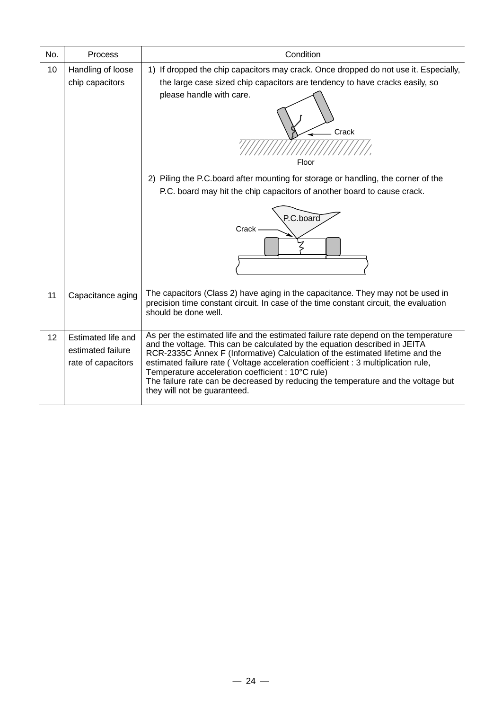| No. | Process                                                       | Condition                                                                                                                                                                                                                                                                                                                                                                                                                                                                                                        |
|-----|---------------------------------------------------------------|------------------------------------------------------------------------------------------------------------------------------------------------------------------------------------------------------------------------------------------------------------------------------------------------------------------------------------------------------------------------------------------------------------------------------------------------------------------------------------------------------------------|
| 10  | Handling of loose<br>chip capacitors                          | 1) If dropped the chip capacitors may crack. Once dropped do not use it. Especially,<br>the large case sized chip capacitors are tendency to have cracks easily, so<br>please handle with care.<br>Crack<br>Floor<br>2) Piling the P.C.board after mounting for storage or handling, the corner of the                                                                                                                                                                                                           |
|     |                                                               | P.C. board may hit the chip capacitors of another board to cause crack.<br>P.C.board<br>Crack                                                                                                                                                                                                                                                                                                                                                                                                                    |
| 11  | Capacitance aging                                             | The capacitors (Class 2) have aging in the capacitance. They may not be used in<br>precision time constant circuit. In case of the time constant circuit, the evaluation<br>should be done well.                                                                                                                                                                                                                                                                                                                 |
| 12  | Estimated life and<br>estimated failure<br>rate of capacitors | As per the estimated life and the estimated failure rate depend on the temperature<br>and the voltage. This can be calculated by the equation described in JEITA<br>RCR-2335C Annex F (Informative) Calculation of the estimated lifetime and the<br>estimated failure rate (Voltage acceleration coefficient : 3 multiplication rule,<br>Temperature acceleration coefficient : 10°C rule)<br>The failure rate can be decreased by reducing the temperature and the voltage but<br>they will not be guaranteed. |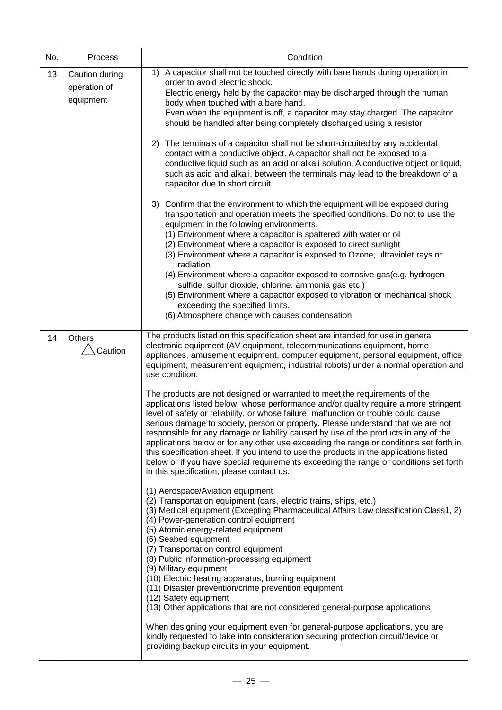| No. | Process                                     | Condition                                                                                                                                                                                                                                                                                                                                                                                                                                                                                                                                                                                                                                                                                                                                                                                                                                                                                                                                                                                                                                                                                                                                                                                                                                                                                                                                                                                                                                                                                                                                          |
|-----|---------------------------------------------|----------------------------------------------------------------------------------------------------------------------------------------------------------------------------------------------------------------------------------------------------------------------------------------------------------------------------------------------------------------------------------------------------------------------------------------------------------------------------------------------------------------------------------------------------------------------------------------------------------------------------------------------------------------------------------------------------------------------------------------------------------------------------------------------------------------------------------------------------------------------------------------------------------------------------------------------------------------------------------------------------------------------------------------------------------------------------------------------------------------------------------------------------------------------------------------------------------------------------------------------------------------------------------------------------------------------------------------------------------------------------------------------------------------------------------------------------------------------------------------------------------------------------------------------------|
| 13  | Caution during<br>operation of<br>equipment | A capacitor shall not be touched directly with bare hands during operation in<br>1)<br>order to avoid electric shock.<br>Electric energy held by the capacitor may be discharged through the human<br>body when touched with a bare hand.<br>Even when the equipment is off, a capacitor may stay charged. The capacitor<br>should be handled after being completely discharged using a resistor.                                                                                                                                                                                                                                                                                                                                                                                                                                                                                                                                                                                                                                                                                                                                                                                                                                                                                                                                                                                                                                                                                                                                                  |
|     |                                             | 2) The terminals of a capacitor shall not be short-circuited by any accidental<br>contact with a conductive object. A capacitor shall not be exposed to a<br>conductive liquid such as an acid or alkali solution. A conductive object or liquid,<br>such as acid and alkali, between the terminals may lead to the breakdown of a<br>capacitor due to short circuit.                                                                                                                                                                                                                                                                                                                                                                                                                                                                                                                                                                                                                                                                                                                                                                                                                                                                                                                                                                                                                                                                                                                                                                              |
|     |                                             | 3) Confirm that the environment to which the equipment will be exposed during<br>transportation and operation meets the specified conditions. Do not to use the<br>equipment in the following environments.<br>(1) Environment where a capacitor is spattered with water or oil<br>(2) Environment where a capacitor is exposed to direct sunlight<br>(3) Environment where a capacitor is exposed to Ozone, ultraviolet rays or<br>radiation<br>(4) Environment where a capacitor exposed to corrosive gas(e.g. hydrogen<br>sulfide, sulfur dioxide, chlorine. ammonia gas etc.)<br>(5) Environment where a capacitor exposed to vibration or mechanical shock<br>exceeding the specified limits.<br>(6) Atmosphere change with causes condensation                                                                                                                                                                                                                                                                                                                                                                                                                                                                                                                                                                                                                                                                                                                                                                                               |
| 14  | <b>Others</b><br>Caution                    | The products listed on this specification sheet are intended for use in general<br>electronic equipment (AV equipment, telecommunications equipment, home<br>appliances, amusement equipment, computer equipment, personal equipment, office<br>equipment, measurement equipment, industrial robots) under a normal operation and<br>use condition.<br>The products are not designed or warranted to meet the requirements of the<br>applications listed below, whose performance and/or quality require a more stringent<br>level of safety or reliability, or whose failure, malfunction or trouble could cause<br>serious damage to society, person or property. Please understand that we are not<br>responsible for any damage or liability caused by use of the products in any of the<br>applications below or for any other use exceeding the range or conditions set forth in<br>this specification sheet. If you intend to use the products in the applications listed<br>below or if you have special requirements exceeding the range or conditions set forth<br>in this specification, please contact us.<br>(1) Aerospace/Aviation equipment<br>(2) Transportation equipment (cars, electric trains, ships, etc.)<br>(3) Medical equipment (Excepting Pharmaceutical Affairs Law classification Class1, 2)<br>(4) Power-generation control equipment<br>(5) Atomic energy-related equipment<br>(6) Seabed equipment<br>(7) Transportation control equipment<br>(8) Public information-processing equipment<br>(9) Military equipment |
|     |                                             | (10) Electric heating apparatus, burning equipment<br>(11) Disaster prevention/crime prevention equipment<br>(12) Safety equipment<br>(13) Other applications that are not considered general-purpose applications<br>When designing your equipment even for general-purpose applications, you are<br>kindly requested to take into consideration securing protection circuit/device or<br>providing backup circuits in your equipment.                                                                                                                                                                                                                                                                                                                                                                                                                                                                                                                                                                                                                                                                                                                                                                                                                                                                                                                                                                                                                                                                                                            |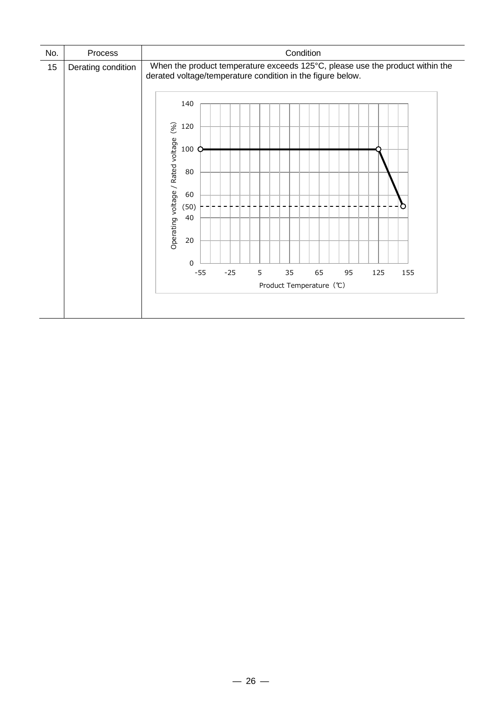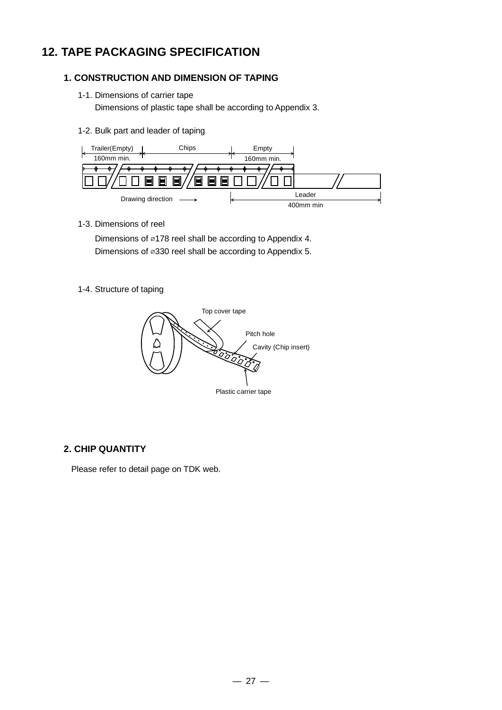## **12. TAPE PACKAGING SPECIFICATION**

#### **1. CONSTRUCTION AND DIMENSION OF TAPING**

1-1. Dimensions of carrier tape

Dimensions of plastic tape shall be according to Appendix 3.

1-2. Bulk part and leader of taping



1-3. Dimensions of reel

Dimensions of ⌀178 reel shall be according to Appendix 4. Dimensions of ⌀330 reel shall be according to Appendix 5.

1-4. Structure of taping



#### **2. CHIP QUANTITY**

Please refer to detail page on TDK web.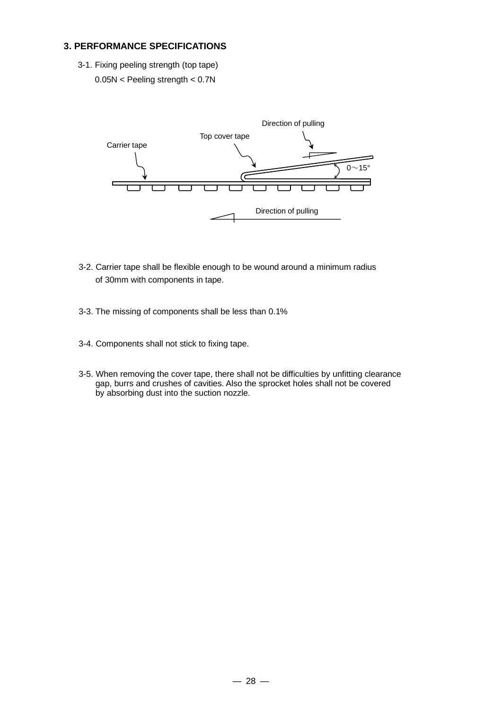#### **3. PERFORMANCE SPECIFICATIONS**

3-1. Fixing peeling strength (top tape) 0.05N < Peeling strength < 0.7N



- 3-2. Carrier tape shall be flexible enough to be wound around a minimum radius of 30mm with components in tape.
- 3-3. The missing of components shall be less than 0.1%
- 3-4. Components shall not stick to fixing tape.
- 3-5. When removing the cover tape, there shall not be difficulties by unfitting clearance gap, burrs and crushes of cavities. Also the sprocket holes shall not be covered by absorbing dust into the suction nozzle.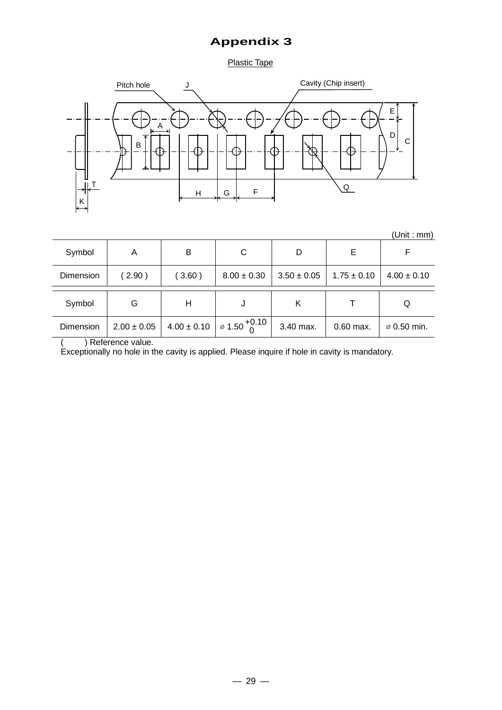### **Appendix 3**

Plastic Tape



| (Unit : mm) |
|-------------|
|-------------|

| Symbol    | Α               | B               | C                                    | D               | Е               |                         |
|-----------|-----------------|-----------------|--------------------------------------|-----------------|-----------------|-------------------------|
| Dimension | (2.90)          | (3.60)          | $8.00 \pm 0.30$                      | $3.50 \pm 0.05$ | $1.75 \pm 0.10$ | $4.00 \pm 0.10$         |
| Symbol    | G               | Η               |                                      | Κ               |                 | Q                       |
| Dimension | $2.00 \pm 0.05$ | $4.00 \pm 0.10$ | $\frac{1}{2}$ 1.50 $\frac{+0.10}{0}$ | 3.40 max.       | $0.60$ max.     | $\varnothing$ 0.50 min. |

( ) Reference value.

Exceptionally no hole in the cavity is applied. Please inquire if hole in cavity is mandatory.